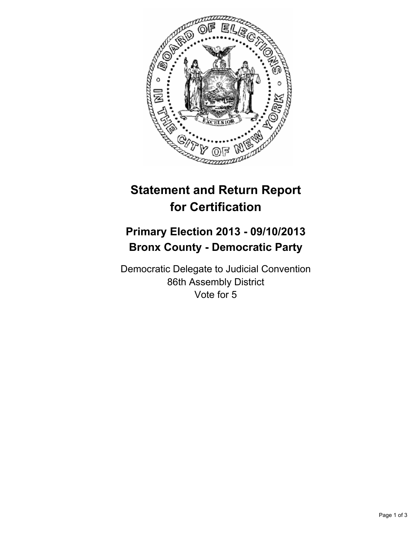

## **Statement and Return Report for Certification**

## **Primary Election 2013 - 09/10/2013 Bronx County - Democratic Party**

Democratic Delegate to Judicial Convention 86th Assembly District Vote for 5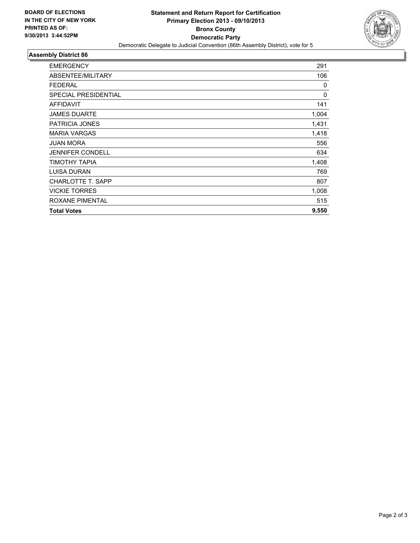

## **Assembly District 86**

| <b>EMERGENCY</b>            | 291   |
|-----------------------------|-------|
| ABSENTEE/MILITARY           | 106   |
| <b>FEDERAL</b>              | 0     |
| <b>SPECIAL PRESIDENTIAL</b> | 0     |
| <b>AFFIDAVIT</b>            | 141   |
| <b>JAMES DUARTE</b>         | 1,004 |
| PATRICIA JONES              | 1,431 |
| <b>MARIA VARGAS</b>         | 1,418 |
| <b>JUAN MORA</b>            | 556   |
| <b>JENNIFER CONDELL</b>     | 634   |
| TIMOTHY TAPIA               | 1,408 |
| LUISA DURAN                 | 769   |
| <b>CHARLOTTE T. SAPP</b>    | 807   |
| <b>VICKIE TORRES</b>        | 1,008 |
| ROXANE PIMENTAL             | 515   |
| <b>Total Votes</b>          | 9,550 |